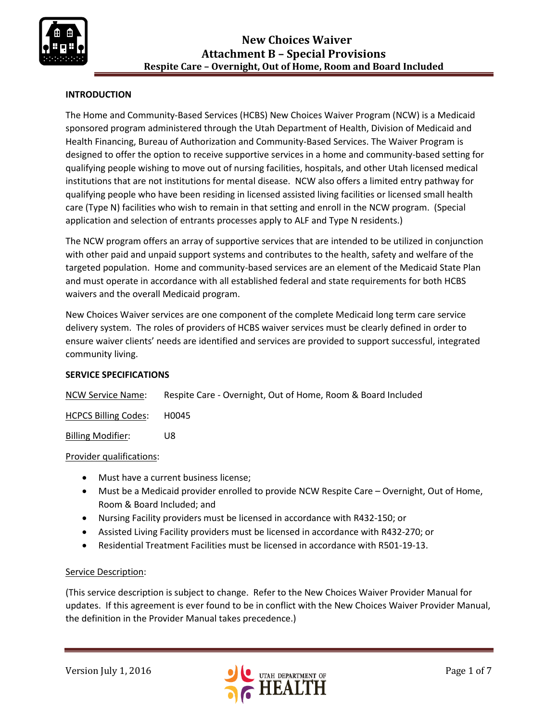

## **INTRODUCTION**

The Home and Community-Based Services (HCBS) New Choices Waiver Program (NCW) is a Medicaid sponsored program administered through the Utah Department of Health, Division of Medicaid and Health Financing, Bureau of Authorization and Community-Based Services. The Waiver Program is designed to offer the option to receive supportive services in a home and community-based setting for qualifying people wishing to move out of nursing facilities, hospitals, and other Utah licensed medical institutions that are not institutions for mental disease. NCW also offers a limited entry pathway for qualifying people who have been residing in licensed assisted living facilities or licensed small health care (Type N) facilities who wish to remain in that setting and enroll in the NCW program. (Special application and selection of entrants processes apply to ALF and Type N residents.)

The NCW program offers an array of supportive services that are intended to be utilized in conjunction with other paid and unpaid support systems and contributes to the health, safety and welfare of the targeted population. Home and community-based services are an element of the Medicaid State Plan and must operate in accordance with all established federal and state requirements for both HCBS waivers and the overall Medicaid program.

New Choices Waiver services are one component of the complete Medicaid long term care service delivery system. The roles of providers of HCBS waiver services must be clearly defined in order to ensure waiver clients' needs are identified and services are provided to support successful, integrated community living.

#### **SERVICE SPECIFICATIONS**

NCW Service Name: Respite Care - Overnight, Out of Home, Room & Board Included

HCPCS Billing Codes: H0045

Billing Modifier: U8

Provider qualifications:

- Must have a current business license;
- Must be a Medicaid provider enrolled to provide NCW Respite Care Overnight, Out of Home, Room & Board Included; and
- Nursing Facility providers must be licensed in accordance with R432-150; or
- Assisted Living Facility providers must be licensed in accordance with R432-270; or
- Residential Treatment Facilities must be licensed in accordance with R501-19-13.

#### Service Description:

(This service description is subject to change. Refer to the New Choices Waiver Provider Manual for updates. If this agreement is ever found to be in conflict with the New Choices Waiver Provider Manual, the definition in the Provider Manual takes precedence.)

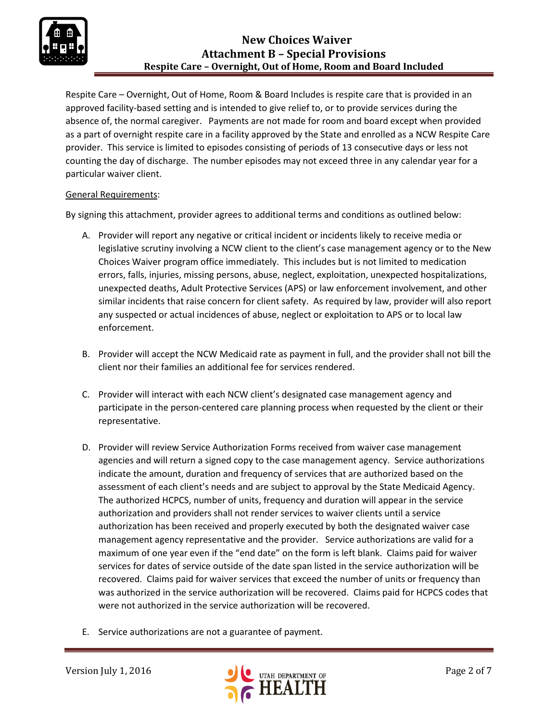

# **New Choices Waiver Attachment B – Special Provisions Respite Care – Overnight, Out of Home, Room and Board Included**

Respite Care – Overnight, Out of Home, Room & Board Includes is respite care that is provided in an approved facility-based setting and is intended to give relief to, or to provide services during the absence of, the normal caregiver. Payments are not made for room and board except when provided as a part of overnight respite care in a facility approved by the State and enrolled as a NCW Respite Care provider. This service is limited to episodes consisting of periods of 13 consecutive days or less not counting the day of discharge. The number episodes may not exceed three in any calendar year for a particular waiver client.

### General Requirements:

By signing this attachment, provider agrees to additional terms and conditions as outlined below:

- A. Provider will report any negative or critical incident or incidents likely to receive media or legislative scrutiny involving a NCW client to the client's case management agency or to the New Choices Waiver program office immediately. This includes but is not limited to medication errors, falls, injuries, missing persons, abuse, neglect, exploitation, unexpected hospitalizations, unexpected deaths, Adult Protective Services (APS) or law enforcement involvement, and other similar incidents that raise concern for client safety. As required by law, provider will also report any suspected or actual incidences of abuse, neglect or exploitation to APS or to local law enforcement.
- B. Provider will accept the NCW Medicaid rate as payment in full, and the provider shall not bill the client nor their families an additional fee for services rendered.
- C. Provider will interact with each NCW client's designated case management agency and participate in the person-centered care planning process when requested by the client or their representative.
- D. Provider will review Service Authorization Forms received from waiver case management agencies and will return a signed copy to the case management agency. Service authorizations indicate the amount, duration and frequency of services that are authorized based on the assessment of each client's needs and are subject to approval by the State Medicaid Agency. The authorized HCPCS, number of units, frequency and duration will appear in the service authorization and providers shall not render services to waiver clients until a service authorization has been received and properly executed by both the designated waiver case management agency representative and the provider. Service authorizations are valid for a maximum of one year even if the "end date" on the form is left blank. Claims paid for waiver services for dates of service outside of the date span listed in the service authorization will be recovered. Claims paid for waiver services that exceed the number of units or frequency than was authorized in the service authorization will be recovered. Claims paid for HCPCS codes that were not authorized in the service authorization will be recovered.
- E. Service authorizations are not a guarantee of payment.

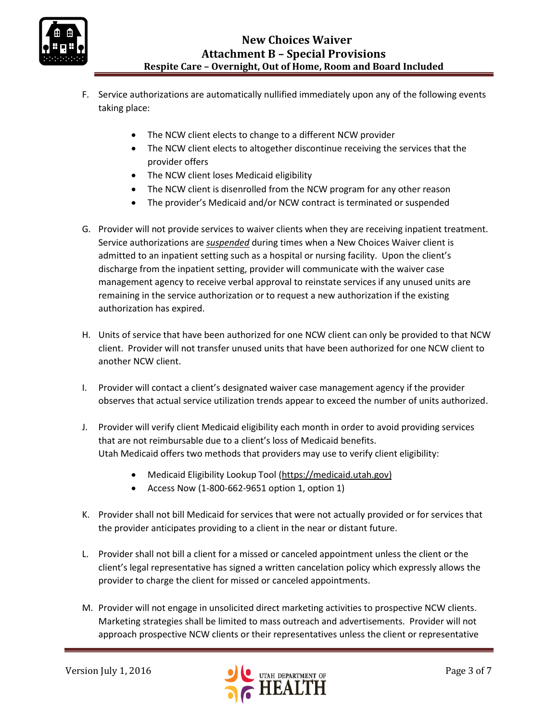

- F. Service authorizations are automatically nullified immediately upon any of the following events taking place:
	- The NCW client elects to change to a different NCW provider
	- The NCW client elects to altogether discontinue receiving the services that the provider offers
	- The NCW client loses Medicaid eligibility
	- The NCW client is disenrolled from the NCW program for any other reason
	- The provider's Medicaid and/or NCW contract is terminated or suspended
- G. Provider will not provide services to waiver clients when they are receiving inpatient treatment. Service authorizations are *suspended* during times when a New Choices Waiver client is admitted to an inpatient setting such as a hospital or nursing facility. Upon the client's discharge from the inpatient setting, provider will communicate with the waiver case management agency to receive verbal approval to reinstate services if any unused units are remaining in the service authorization or to request a new authorization if the existing authorization has expired.
- H. Units of service that have been authorized for one NCW client can only be provided to that NCW client. Provider will not transfer unused units that have been authorized for one NCW client to another NCW client.
- I. Provider will contact a client's designated waiver case management agency if the provider observes that actual service utilization trends appear to exceed the number of units authorized.
- J. Provider will verify client Medicaid eligibility each month in order to avoid providing services that are not reimbursable due to a client's loss of Medicaid benefits. Utah Medicaid offers two methods that providers may use to verify client eligibility:
	- Medicaid Eligibility Lookup Tool [\(https://medicaid.utah.gov\)](https://medicaid.utah.gov/)
	- Access Now (1-800-662-9651 option 1, option 1)
- K. Provider shall not bill Medicaid for services that were not actually provided or for services that the provider anticipates providing to a client in the near or distant future.
- L. Provider shall not bill a client for a missed or canceled appointment unless the client or the client's legal representative has signed a written cancelation policy which expressly allows the provider to charge the client for missed or canceled appointments.
- M. Provider will not engage in unsolicited direct marketing activities to prospective NCW clients. Marketing strategies shall be limited to mass outreach and advertisements. Provider will not approach prospective NCW clients or their representatives unless the client or representative

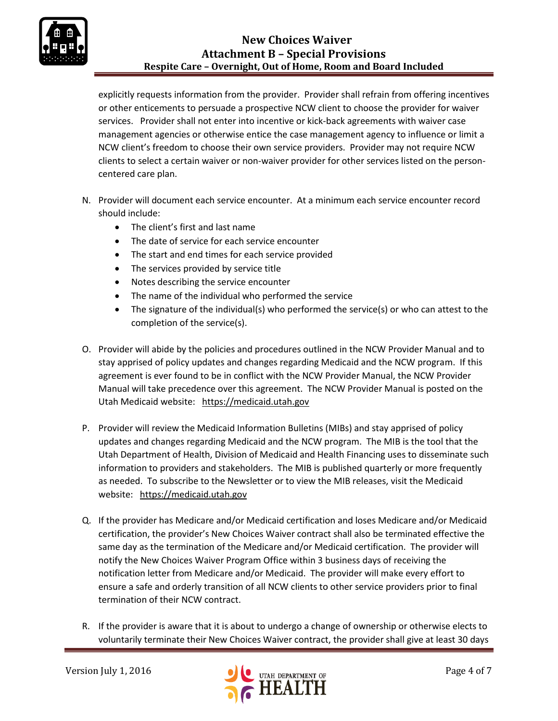

# **New Choices Waiver Attachment B – Special Provisions Respite Care – Overnight, Out of Home, Room and Board Included**

explicitly requests information from the provider. Provider shall refrain from offering incentives or other enticements to persuade a prospective NCW client to choose the provider for waiver services. Provider shall not enter into incentive or kick-back agreements with waiver case management agencies or otherwise entice the case management agency to influence or limit a NCW client's freedom to choose their own service providers. Provider may not require NCW clients to select a certain waiver or non-waiver provider for other services listed on the personcentered care plan.

- N. Provider will document each service encounter. At a minimum each service encounter record should include:
	- The client's first and last name
	- The date of service for each service encounter
	- The start and end times for each service provided
	- The services provided by service title
	- Notes describing the service encounter
	- The name of the individual who performed the service
	- The signature of the individual(s) who performed the service(s) or who can attest to the completion of the service(s).
- O. Provider will abide by the policies and procedures outlined in the NCW Provider Manual and to stay apprised of policy updates and changes regarding Medicaid and the NCW program. If this agreement is ever found to be in conflict with the NCW Provider Manual, the NCW Provider Manual will take precedence over this agreement. The NCW Provider Manual is posted on the Utah Medicaid website: [https://medicaid.utah.gov](https://medicaid.utah.gov/)
- P. Provider will review the Medicaid Information Bulletins (MIBs) and stay apprised of policy updates and changes regarding Medicaid and the NCW program. The MIB is the tool that the Utah Department of Health, Division of Medicaid and Health Financing uses to disseminate such information to providers and stakeholders. The MIB is published quarterly or more frequently as needed. To subscribe to the Newsletter or to view the MIB releases, visit the Medicaid website: [https://medicaid.utah.gov](https://medicaid.utah.gov/)
- Q. If the provider has Medicare and/or Medicaid certification and loses Medicare and/or Medicaid certification, the provider's New Choices Waiver contract shall also be terminated effective the same day as the termination of the Medicare and/or Medicaid certification. The provider will notify the New Choices Waiver Program Office within 3 business days of receiving the notification letter from Medicare and/or Medicaid. The provider will make every effort to ensure a safe and orderly transition of all NCW clients to other service providers prior to final termination of their NCW contract.
- R. If the provider is aware that it is about to undergo a change of ownership or otherwise elects to voluntarily terminate their New Choices Waiver contract, the provider shall give at least 30 days

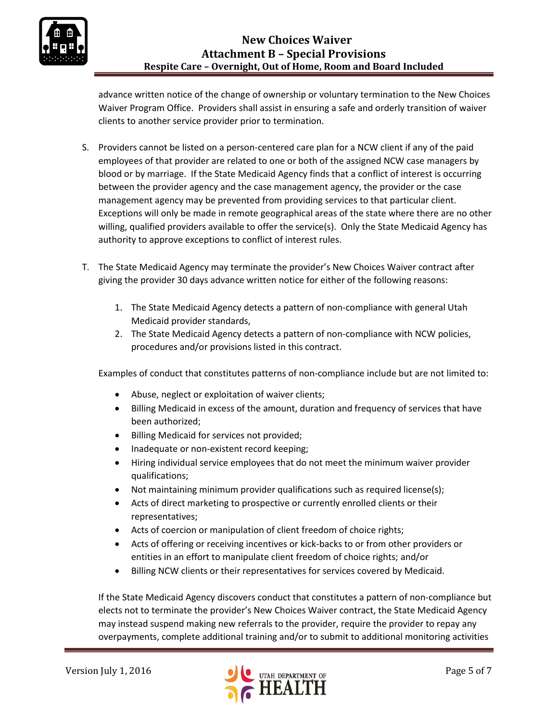

advance written notice of the change of ownership or voluntary termination to the New Choices Waiver Program Office. Providers shall assist in ensuring a safe and orderly transition of waiver clients to another service provider prior to termination.

- S. Providers cannot be listed on a person-centered care plan for a NCW client if any of the paid employees of that provider are related to one or both of the assigned NCW case managers by blood or by marriage. If the State Medicaid Agency finds that a conflict of interest is occurring between the provider agency and the case management agency, the provider or the case management agency may be prevented from providing services to that particular client. Exceptions will only be made in remote geographical areas of the state where there are no other willing, qualified providers available to offer the service(s). Only the State Medicaid Agency has authority to approve exceptions to conflict of interest rules.
- T. The State Medicaid Agency may terminate the provider's New Choices Waiver contract after giving the provider 30 days advance written notice for either of the following reasons:
	- 1. The State Medicaid Agency detects a pattern of non-compliance with general Utah Medicaid provider standards,
	- 2. The State Medicaid Agency detects a pattern of non-compliance with NCW policies, procedures and/or provisions listed in this contract.

Examples of conduct that constitutes patterns of non-compliance include but are not limited to:

- Abuse, neglect or exploitation of waiver clients;
- Billing Medicaid in excess of the amount, duration and frequency of services that have been authorized;
- **•** Billing Medicaid for services not provided;
- Inadequate or non-existent record keeping;
- Hiring individual service employees that do not meet the minimum waiver provider qualifications;
- Not maintaining minimum provider qualifications such as required license(s);
- Acts of direct marketing to prospective or currently enrolled clients or their representatives;
- Acts of coercion or manipulation of client freedom of choice rights;
- Acts of offering or receiving incentives or kick-backs to or from other providers or entities in an effort to manipulate client freedom of choice rights; and/or
- Billing NCW clients or their representatives for services covered by Medicaid.

If the State Medicaid Agency discovers conduct that constitutes a pattern of non-compliance but elects not to terminate the provider's New Choices Waiver contract, the State Medicaid Agency may instead suspend making new referrals to the provider, require the provider to repay any overpayments, complete additional training and/or to submit to additional monitoring activities

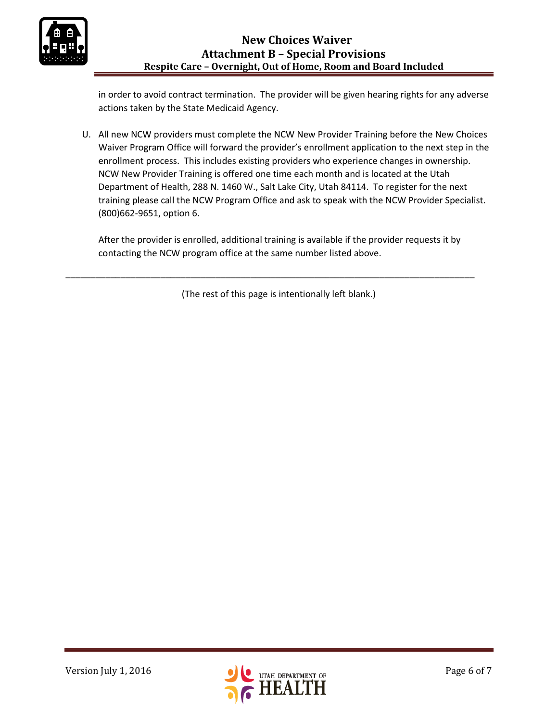

in order to avoid contract termination. The provider will be given hearing rights for any adverse actions taken by the State Medicaid Agency.

U. All new NCW providers must complete the NCW New Provider Training before the New Choices Waiver Program Office will forward the provider's enrollment application to the next step in the enrollment process. This includes existing providers who experience changes in ownership. NCW New Provider Training is offered one time each month and is located at the Utah Department of Health, 288 N. 1460 W., Salt Lake City, Utah 84114. To register for the next training please call the NCW Program Office and ask to speak with the NCW Provider Specialist. (800)662-9651, option 6.

After the provider is enrolled, additional training is available if the provider requests it by contacting the NCW program office at the same number listed above.

(The rest of this page is intentionally left blank.)

\_\_\_\_\_\_\_\_\_\_\_\_\_\_\_\_\_\_\_\_\_\_\_\_\_\_\_\_\_\_\_\_\_\_\_\_\_\_\_\_\_\_\_\_\_\_\_\_\_\_\_\_\_\_\_\_\_\_\_\_\_\_\_\_\_\_\_\_\_\_\_\_\_\_\_\_\_\_\_\_\_\_